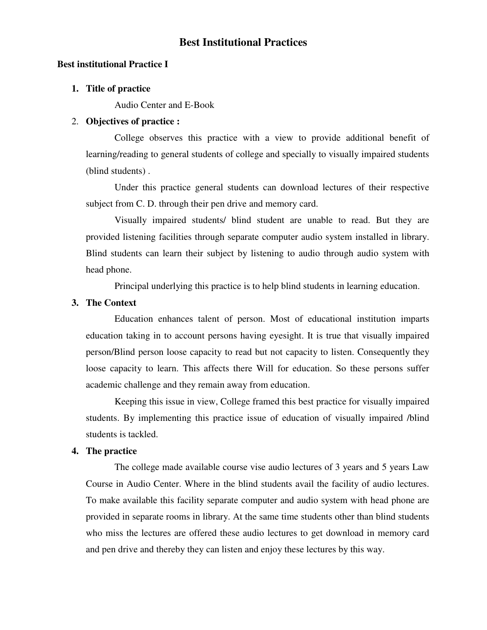# **Best Institutional Practices**

### **Best institutional Practice I**

#### **1. Title of practice**

Audio Center and E-Book

## 2. **Objectives of practice :**

College observes this practice with a view to provide additional benefit of learning/reading to general students of college and specially to visually impaired students (blind students) .

Under this practice general students can download lectures of their respective subject from C. D. through their pen drive and memory card.

 Visually impaired students/ blind student are unable to read. But they are provided listening facilities through separate computer audio system installed in library. Blind students can learn their subject by listening to audio through audio system with head phone.

Principal underlying this practice is to help blind students in learning education.

# **3. The Context**

 Education enhances talent of person. Most of educational institution imparts education taking in to account persons having eyesight. It is true that visually impaired person/Blind person loose capacity to read but not capacity to listen. Consequently they loose capacity to learn. This affects there Will for education. So these persons suffer academic challenge and they remain away from education.

 Keeping this issue in view, College framed this best practice for visually impaired students. By implementing this practice issue of education of visually impaired /blind students is tackled.

## **4. The practice**

 The college made available course vise audio lectures of 3 years and 5 years Law Course in Audio Center. Where in the blind students avail the facility of audio lectures. To make available this facility separate computer and audio system with head phone are provided in separate rooms in library. At the same time students other than blind students who miss the lectures are offered these audio lectures to get download in memory card and pen drive and thereby they can listen and enjoy these lectures by this way.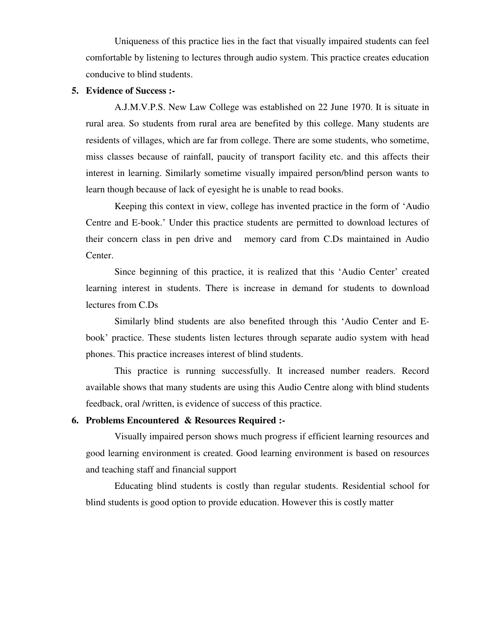Uniqueness of this practice lies in the fact that visually impaired students can feel comfortable by listening to lectures through audio system. This practice creates education conducive to blind students.

## **5. Evidence of Success :-**

A.J.M.V.P.S. New Law College was established on 22 June 1970. It is situate in rural area. So students from rural area are benefited by this college. Many students are residents of villages, which are far from college. There are some students, who sometime, miss classes because of rainfall, paucity of transport facility etc. and this affects their interest in learning. Similarly sometime visually impaired person/blind person wants to learn though because of lack of eyesight he is unable to read books.

 Keeping this context in view, college has invented practice in the form of 'Audio Centre and E-book.' Under this practice students are permitted to download lectures of their concern class in pen drive and memory card from C.Ds maintained in Audio Center.

 Since beginning of this practice, it is realized that this 'Audio Center' created learning interest in students. There is increase in demand for students to download lectures from C.Ds

 Similarly blind students are also benefited through this 'Audio Center and Ebook' practice. These students listen lectures through separate audio system with head phones. This practice increases interest of blind students.

 This practice is running successfully. It increased number readers. Record available shows that many students are using this Audio Centre along with blind students feedback, oral /written, is evidence of success of this practice.

#### **6. Problems Encountered & Resources Required :-**

Visually impaired person shows much progress if efficient learning resources and good learning environment is created. Good learning environment is based on resources and teaching staff and financial support

 Educating blind students is costly than regular students. Residential school for blind students is good option to provide education. However this is costly matter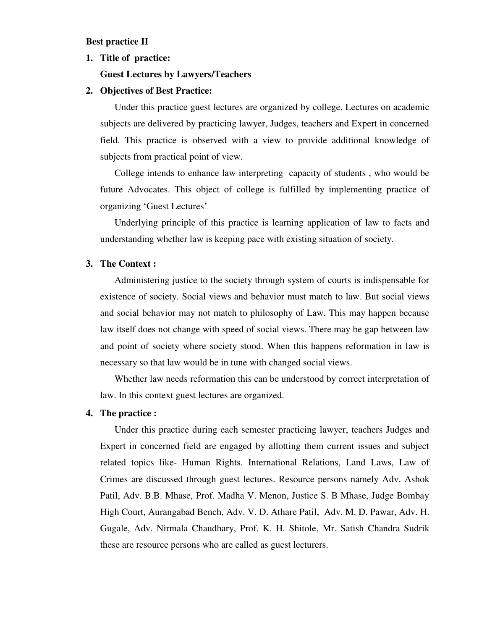#### **Best practice II**

## **1. Title of practice:**

## **Guest Lectures by Lawyers/Teachers**

## **2. Objectives of Best Practice:**

 Under this practice guest lectures are organized by college. Lectures on academic subjects are delivered by practicing lawyer, Judges, teachers and Expert in concerned field. This practice is observed with a view to provide additional knowledge of subjects from practical point of view.

College intends to enhance law interpreting capacity of students , who would be future Advocates. This object of college is fulfilled by implementing practice of organizing 'Guest Lectures'

 Underlying principle of this practice is learning application of law to facts and understanding whether law is keeping pace with existing situation of society.

# **3. The Context :**

Administering justice to the society through system of courts is indispensable for existence of society. Social views and behavior must match to law. But social views and social behavior may not match to philosophy of Law. This may happen because law itself does not change with speed of social views. There may be gap between law and point of society where society stood. When this happens reformation in law is necessary so that law would be in tune with changed social views.

 Whether law needs reformation this can be understood by correct interpretation of law. In this context guest lectures are organized.

#### **4. The practice :**

 Under this practice during each semester practicing lawyer, teachers Judges and Expert in concerned field are engaged by allotting them current issues and subject related topics like- Human Rights. International Relations, Land Laws, Law of Crimes are discussed through guest lectures. Resource persons namely Adv. Ashok Patil, Adv. B.B. Mhase, Prof. Madha V. Menon, Justice S. B Mhase, Judge Bombay High Court, Aurangabad Bench, Adv. V. D. Athare Patil, Adv. M. D. Pawar, Adv. H. Gugale, Adv. Nirmala Chaudhary, Prof. K. H. Shitole, Mr. Satish Chandra Sudrik these are resource persons who are called as guest lecturers.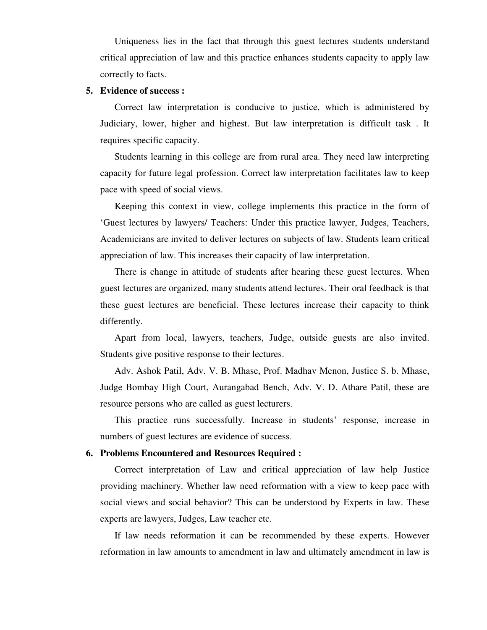Uniqueness lies in the fact that through this guest lectures students understand critical appreciation of law and this practice enhances students capacity to apply law correctly to facts.

## **5. Evidence of success :**

Correct law interpretation is conducive to justice, which is administered by Judiciary, lower, higher and highest. But law interpretation is difficult task . It requires specific capacity.

 Students learning in this college are from rural area. They need law interpreting capacity for future legal profession. Correct law interpretation facilitates law to keep pace with speed of social views.

 Keeping this context in view, college implements this practice in the form of 'Guest lectures by lawyers/ Teachers: Under this practice lawyer, Judges, Teachers, Academicians are invited to deliver lectures on subjects of law. Students learn critical appreciation of law. This increases their capacity of law interpretation.

 There is change in attitude of students after hearing these guest lectures. When guest lectures are organized, many students attend lectures. Their oral feedback is that these guest lectures are beneficial. These lectures increase their capacity to think differently.

 Apart from local, lawyers, teachers, Judge, outside guests are also invited. Students give positive response to their lectures.

 Adv. Ashok Patil, Adv. V. B. Mhase, Prof. Madhav Menon, Justice S. b. Mhase, Judge Bombay High Court, Aurangabad Bench, Adv. V. D. Athare Patil, these are resource persons who are called as guest lecturers.

 This practice runs successfully. Increase in students' response, increase in numbers of guest lectures are evidence of success.

#### **6. Problems Encountered and Resources Required :**

Correct interpretation of Law and critical appreciation of law help Justice providing machinery. Whether law need reformation with a view to keep pace with social views and social behavior? This can be understood by Experts in law. These experts are lawyers, Judges, Law teacher etc.

 If law needs reformation it can be recommended by these experts. However reformation in law amounts to amendment in law and ultimately amendment in law is